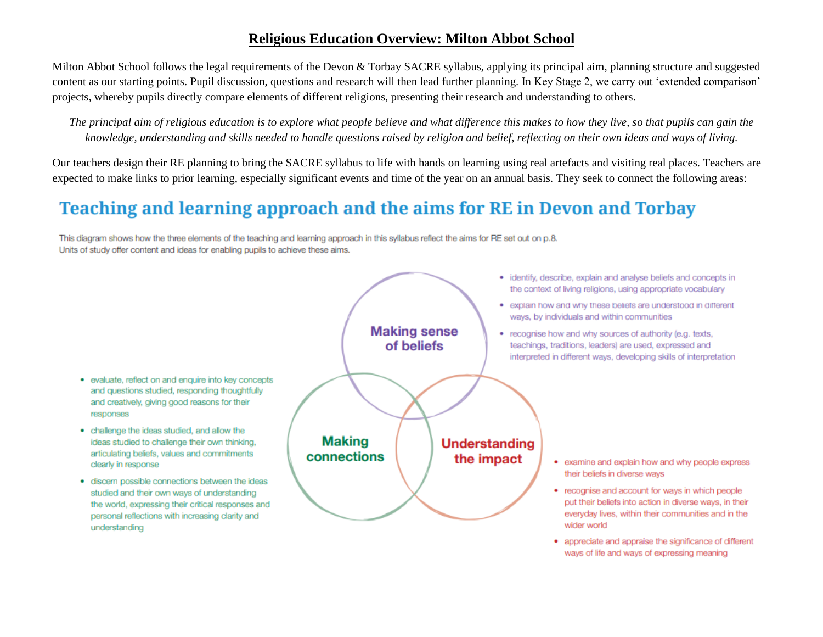## **Religious Education Overview: Milton Abbot School**

Milton Abbot School follows the legal requirements of the Devon & Torbay SACRE syllabus, applying its principal aim, planning structure and suggested content as our starting points. Pupil discussion, questions and research will then lead further planning. In Key Stage 2, we carry out 'extended comparison' projects, whereby pupils directly compare elements of different religions, presenting their research and understanding to others.

*The principal aim of religious education is to explore what people believe and what difference this makes to how they live, so that pupils can gain the knowledge, understanding and skills needed to handle questions raised by religion and belief, reflecting on their own ideas and ways of living.*

Our teachers design their RE planning to bring the SACRE syllabus to life with hands on learning using real artefacts and visiting real places. Teachers are expected to make links to prior learning, especially significant events and time of the year on an annual basis. They seek to connect the following areas:

## Teaching and learning approach and the aims for RE in Devon and Torbay

This diagram shows how the three elements of the teaching and learning approach in this syllabus reflect the aims for RE set out on p.8. Units of study offer content and ideas for enabling pupils to achieve these aims.



• appreciate and appraise the significance of different ways of life and ways of expressing meaning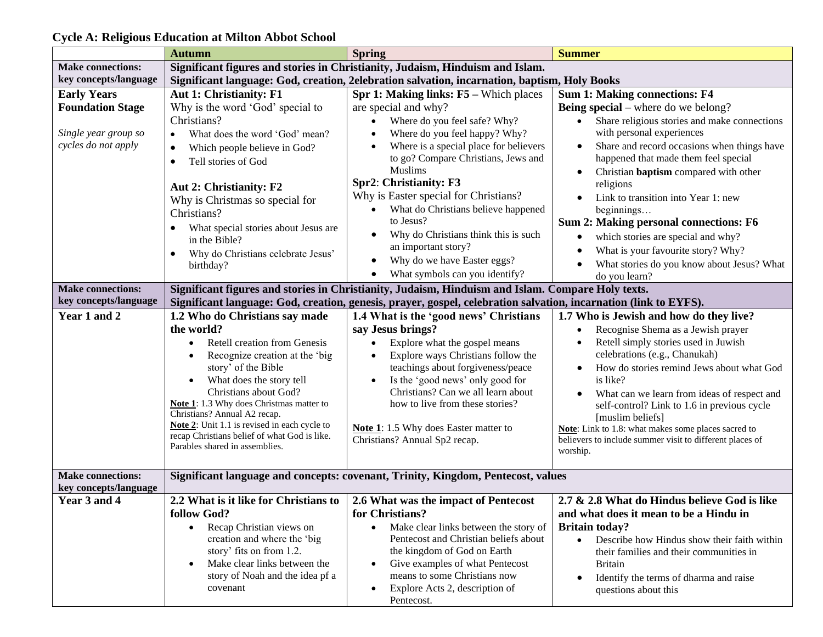|                          | <b>Autumn</b>                                                                 | <b>Spring</b>                                                                                                    | <b>Summer</b>                                            |  |  |  |
|--------------------------|-------------------------------------------------------------------------------|------------------------------------------------------------------------------------------------------------------|----------------------------------------------------------|--|--|--|
| <b>Make connections:</b> | Significant figures and stories in Christianity, Judaism, Hinduism and Islam. |                                                                                                                  |                                                          |  |  |  |
| key concepts/language    |                                                                               | Significant language: God, creation, 2elebration salvation, incarnation, baptism, Holy Books                     |                                                          |  |  |  |
| <b>Early Years</b>       | Aut 1: Christianity: F1                                                       | Spr 1: Making links: F5 - Which places                                                                           | <b>Sum 1: Making connections: F4</b>                     |  |  |  |
| <b>Foundation Stage</b>  | Why is the word 'God' special to                                              | are special and why?                                                                                             | <b>Being special</b> – where do we belong?               |  |  |  |
|                          | Christians?                                                                   | Where do you feel safe? Why?                                                                                     | Share religious stories and make connections             |  |  |  |
| Single year group so     | What does the word 'God' mean?<br>$\bullet$                                   | Where do you feel happy? Why?                                                                                    | with personal experiences                                |  |  |  |
| cycles do not apply      |                                                                               | Where is a special place for believers                                                                           | Share and record occasions when things have              |  |  |  |
|                          | Which people believe in God?<br>$\bullet$                                     | to go? Compare Christians, Jews and                                                                              | happened that made them feel special                     |  |  |  |
|                          | Tell stories of God<br>$\bullet$                                              | <b>Muslims</b>                                                                                                   |                                                          |  |  |  |
|                          |                                                                               | Spr2: Christianity: F3                                                                                           | Christian <b>baptism</b> compared with other             |  |  |  |
|                          | Aut 2: Christianity: F2                                                       |                                                                                                                  | religions                                                |  |  |  |
|                          | Why is Christmas so special for                                               | Why is Easter special for Christians?                                                                            | Link to transition into Year 1: new                      |  |  |  |
|                          | Christians?                                                                   | What do Christians believe happened                                                                              | beginnings                                               |  |  |  |
|                          | What special stories about Jesus are<br>$\bullet$                             | to Jesus?                                                                                                        | Sum 2: Making personal connections: F6                   |  |  |  |
|                          | in the Bible?                                                                 | Why do Christians think this is such<br>$\bullet$                                                                | which stories are special and why?                       |  |  |  |
|                          | Why do Christians celebrate Jesus'<br>$\bullet$                               | an important story?                                                                                              | What is your favourite story? Why?                       |  |  |  |
|                          | birthday?                                                                     | Why do we have Easter eggs?                                                                                      | What stories do you know about Jesus? What               |  |  |  |
|                          |                                                                               | What symbols can you identify?                                                                                   | do you learn?                                            |  |  |  |
| <b>Make connections:</b> |                                                                               | Significant figures and stories in Christianity, Judaism, Hinduism and Islam. Compare Holy texts.                |                                                          |  |  |  |
| key concepts/language    |                                                                               | Significant language: God, creation, genesis, prayer, gospel, celebration salvation, incarnation (link to EYFS). |                                                          |  |  |  |
| Year 1 and 2             | 1.2 Who do Christians say made                                                | 1.4 What is the 'good news' Christians                                                                           | 1.7 Who is Jewish and how do they live?                  |  |  |  |
|                          | the world?                                                                    | say Jesus brings?                                                                                                | Recognise Shema as a Jewish prayer                       |  |  |  |
|                          | Retell creation from Genesis                                                  |                                                                                                                  | Retell simply stories used in Juwish                     |  |  |  |
|                          |                                                                               | Explore what the gospel means                                                                                    | celebrations (e.g., Chanukah)                            |  |  |  |
|                          | Recognize creation at the 'big                                                | Explore ways Christians follow the                                                                               |                                                          |  |  |  |
|                          | story' of the Bible                                                           | teachings about forgiveness/peace                                                                                | How do stories remind Jews about what God                |  |  |  |
|                          | What does the story tell                                                      | Is the 'good news' only good for                                                                                 | is like?                                                 |  |  |  |
|                          | Christians about God?                                                         | Christians? Can we all learn about                                                                               | What can we learn from ideas of respect and              |  |  |  |
|                          | Note 1: 1.3 Why does Christmas matter to<br>Christians? Annual A2 recap.      | how to live from these stories?                                                                                  | self-control? Link to 1.6 in previous cycle              |  |  |  |
|                          | Note 2: Unit 1.1 is revised in each cycle to                                  |                                                                                                                  | [muslim beliefs]                                         |  |  |  |
|                          | recap Christians belief of what God is like.                                  | Note 1: 1.5 Why does Easter matter to                                                                            | Note: Link to 1.8: what makes some places sacred to      |  |  |  |
|                          | Parables shared in assemblies.                                                | Christians? Annual Sp2 recap.                                                                                    | believers to include summer visit to different places of |  |  |  |
|                          |                                                                               |                                                                                                                  | worship.                                                 |  |  |  |
| <b>Make connections:</b> |                                                                               | Significant language and concepts: covenant, Trinity, Kingdom, Pentecost, values                                 |                                                          |  |  |  |
| key concepts/language    |                                                                               |                                                                                                                  |                                                          |  |  |  |
| Year 3 and 4             | 2.2 What is it like for Christians to                                         | 2.6 What was the impact of Pentecost                                                                             | 2.7 & 2.8 What do Hindus believe God is like             |  |  |  |
|                          |                                                                               |                                                                                                                  |                                                          |  |  |  |
|                          | follow God?                                                                   | for Christians?                                                                                                  | and what does it mean to be a Hindu in                   |  |  |  |
|                          | Recap Christian views on<br>$\bullet$                                         | Make clear links between the story of<br>$\bullet$                                                               | <b>Britain today?</b>                                    |  |  |  |
|                          | creation and where the 'big                                                   | Pentecost and Christian beliefs about                                                                            | Describe how Hindus show their faith within<br>$\bullet$ |  |  |  |
|                          | story' fits on from 1.2.                                                      | the kingdom of God on Earth                                                                                      | their families and their communities in                  |  |  |  |
|                          | Make clear links between the<br>$\bullet$                                     | Give examples of what Pentecost<br>$\bullet$                                                                     | <b>Britain</b>                                           |  |  |  |
|                          | story of Noah and the idea pf a                                               | means to some Christians now                                                                                     | Identify the terms of dharma and raise                   |  |  |  |
|                          | covenant                                                                      | Explore Acts 2, description of<br>$\bullet$                                                                      | questions about this                                     |  |  |  |
|                          |                                                                               | Pentecost.                                                                                                       |                                                          |  |  |  |

## **Cycle A: Religious Education at Milton Abbot School**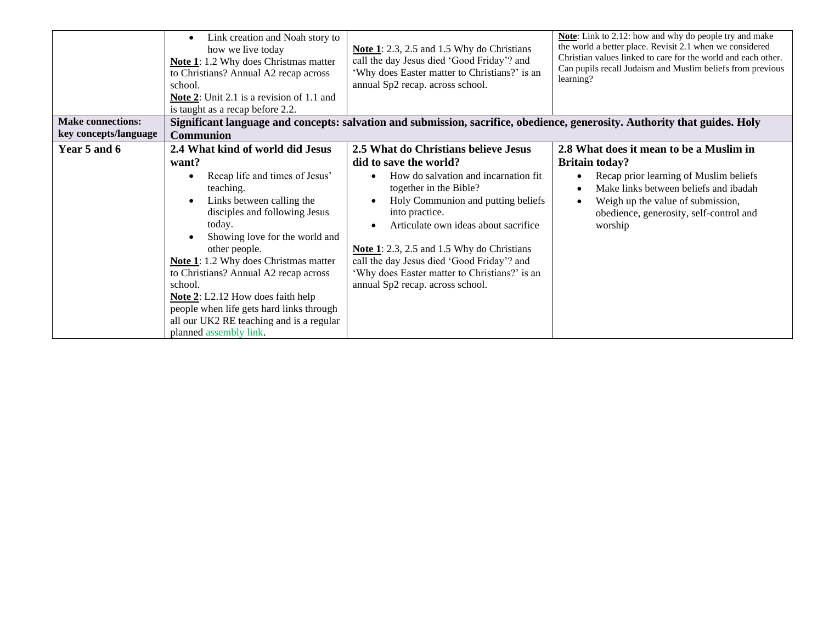| <b>Make connections:</b> | Link creation and Noah story to<br>how we live today<br>Note 1: 1.2 Why does Christmas matter<br>to Christians? Annual A2 recap across<br>school.<br><b>Note 2:</b> Unit 2.1 is a revision of 1.1 and<br>is taught as a recap before 2.2.                                                                                                                                                                                                                                             | <b>Note 1</b> : 2.3, 2.5 and 1.5 Why do Christians<br>call the day Jesus died 'Good Friday'? and<br>'Why does Easter matter to Christians?' is an<br>annual Sp2 recap. across school.                                                                                                                                                                                                                                     | Note: Link to 2.12: how and why do people try and make<br>the world a better place. Revisit 2.1 when we considered<br>Christian values linked to care for the world and each other.<br>Can pupils recall Judaism and Muslim beliefs from previous<br>learning? |  |
|--------------------------|---------------------------------------------------------------------------------------------------------------------------------------------------------------------------------------------------------------------------------------------------------------------------------------------------------------------------------------------------------------------------------------------------------------------------------------------------------------------------------------|---------------------------------------------------------------------------------------------------------------------------------------------------------------------------------------------------------------------------------------------------------------------------------------------------------------------------------------------------------------------------------------------------------------------------|----------------------------------------------------------------------------------------------------------------------------------------------------------------------------------------------------------------------------------------------------------------|--|
| key concepts/language    | Significant language and concepts: salvation and submission, sacrifice, obedience, generosity. Authority that guides. Holy<br><b>Communion</b>                                                                                                                                                                                                                                                                                                                                        |                                                                                                                                                                                                                                                                                                                                                                                                                           |                                                                                                                                                                                                                                                                |  |
| Year 5 and 6             | 2.4 What kind of world did Jesus<br>want?<br>Recap life and times of Jesus'<br>teaching.<br>Links between calling the<br>disciples and following Jesus<br>today.<br>Showing love for the world and<br>other people.<br><b>Note 1:</b> 1.2 Why does Christmas matter<br>to Christians? Annual A2 recap across<br>school.<br><b>Note 2:</b> L2.12 How does faith help<br>people when life gets hard links through<br>all our UK2 RE teaching and is a regular<br>planned assembly link. | 2.5 What do Christians believe Jesus<br>did to save the world?<br>How do salvation and incarnation fit<br>together in the Bible?<br>Holy Communion and putting beliefs<br>into practice.<br>Articulate own ideas about sacrifice<br><b>Note 1</b> : 2.3, 2.5 and 1.5 Why do Christians<br>call the day Jesus died 'Good Friday'? and<br>'Why does Easter matter to Christians?' is an<br>annual Sp2 recap. across school. | 2.8 What does it mean to be a Muslim in<br><b>Britain today?</b><br>Recap prior learning of Muslim beliefs<br>Make links between beliefs and ibadah<br>Weigh up the value of submission,<br>obedience, generosity, self-control and<br>worship                 |  |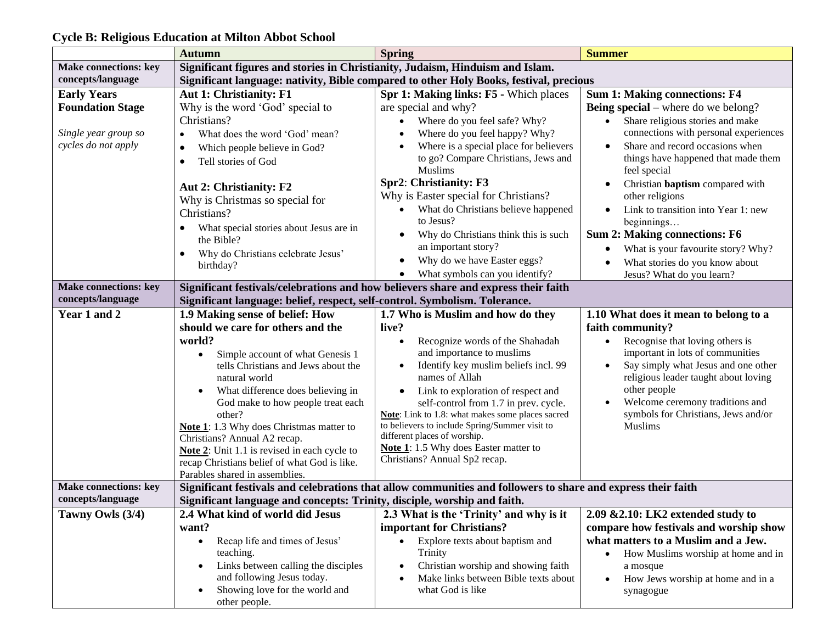|                                                                                              | <b>Autumn</b>                                                                                                                                                                                                                                                                                                                                                                                        | <b>Spring</b>                                                                                                                                                                                                                                                                                                                                                                                                         | <b>Summer</b>                                                                                                                                                                                                                                                                                                                             |  |
|----------------------------------------------------------------------------------------------|------------------------------------------------------------------------------------------------------------------------------------------------------------------------------------------------------------------------------------------------------------------------------------------------------------------------------------------------------------------------------------------------------|-----------------------------------------------------------------------------------------------------------------------------------------------------------------------------------------------------------------------------------------------------------------------------------------------------------------------------------------------------------------------------------------------------------------------|-------------------------------------------------------------------------------------------------------------------------------------------------------------------------------------------------------------------------------------------------------------------------------------------------------------------------------------------|--|
| <b>Make connections: key</b>                                                                 | Significant figures and stories in Christianity, Judaism, Hinduism and Islam.                                                                                                                                                                                                                                                                                                                        |                                                                                                                                                                                                                                                                                                                                                                                                                       |                                                                                                                                                                                                                                                                                                                                           |  |
| concepts/language                                                                            | Significant language: nativity, Bible compared to other Holy Books, festival, precious                                                                                                                                                                                                                                                                                                               |                                                                                                                                                                                                                                                                                                                                                                                                                       |                                                                                                                                                                                                                                                                                                                                           |  |
| <b>Early Years</b><br><b>Foundation Stage</b><br>Single year group so<br>cycles do not apply | <b>Aut 1: Christianity: F1</b><br>Why is the word 'God' special to<br>Christians?<br>What does the word 'God' mean?<br>Which people believe in God?<br>Tell stories of God<br>Aut 2: Christianity: F2<br>Why is Christmas so special for                                                                                                                                                             | Spr 1: Making links: F5 - Which places<br>are special and why?<br>Where do you feel safe? Why?<br>Where do you feel happy? Why?<br>Where is a special place for believers<br>to go? Compare Christians, Jews and<br><b>Muslims</b><br>Spr2: Christianity: F3<br>Why is Easter special for Christians?                                                                                                                 | <b>Sum 1: Making connections: F4</b><br><b>Being special</b> – where do we belong?<br>Share religious stories and make<br>$\bullet$<br>connections with personal experiences<br>Share and record occasions when<br>$\bullet$<br>things have happened that made them<br>feel special<br>Christian baptism compared with<br>other religions |  |
|                                                                                              | Christians?<br>What special stories about Jesus are in<br>the Bible?<br>Why do Christians celebrate Jesus'<br>birthday?                                                                                                                                                                                                                                                                              | What do Christians believe happened<br>to Jesus?<br>Why do Christians think this is such<br>an important story?<br>Why do we have Easter eggs?<br>What symbols can you identify?<br>٠                                                                                                                                                                                                                                 | Link to transition into Year 1: new<br>beginnings<br><b>Sum 2: Making connections: F6</b><br>What is your favourite story? Why?<br>What stories do you know about<br>Jesus? What do you learn?                                                                                                                                            |  |
| <b>Make connections: key</b><br>concepts/language                                            | Significant festivals/celebrations and how believers share and express their faith                                                                                                                                                                                                                                                                                                                   |                                                                                                                                                                                                                                                                                                                                                                                                                       |                                                                                                                                                                                                                                                                                                                                           |  |
|                                                                                              | Significant language: belief, respect, self-control. Symbolism. Tolerance.                                                                                                                                                                                                                                                                                                                           |                                                                                                                                                                                                                                                                                                                                                                                                                       |                                                                                                                                                                                                                                                                                                                                           |  |
| Year 1 and 2                                                                                 | 1.9 Making sense of belief: How<br>should we care for others and the                                                                                                                                                                                                                                                                                                                                 | 1.7 Who is Muslim and how do they<br>live?                                                                                                                                                                                                                                                                                                                                                                            | 1.10 What does it mean to belong to a<br>faith community?                                                                                                                                                                                                                                                                                 |  |
|                                                                                              | world?<br>Simple account of what Genesis 1<br>tells Christians and Jews about the<br>natural world<br>What difference does believing in<br>God make to how people treat each<br>other?<br>Note 1: 1.3 Why does Christmas matter to<br>Christians? Annual A2 recap.<br>Note 2: Unit 1.1 is revised in each cycle to<br>recap Christians belief of what God is like.<br>Parables shared in assemblies. | Recognize words of the Shahadah<br>and importance to muslims<br>Identify key muslim beliefs incl. 99<br>names of Allah<br>Link to exploration of respect and<br>self-control from 1.7 in prev. cycle.<br>Note: Link to 1.8: what makes some places sacred<br>to believers to include Spring/Summer visit to<br>different places of worship.<br>Note 1: 1.5 Why does Easter matter to<br>Christians? Annual Sp2 recap. | Recognise that loving others is<br>important in lots of communities<br>Say simply what Jesus and one other<br>religious leader taught about loving<br>other people<br>Welcome ceremony traditions and<br>symbols for Christians, Jews and/or<br>Muslims                                                                                   |  |
| <b>Make connections: key</b>                                                                 | Significant festivals and celebrations that allow communities and followers to share and express their faith                                                                                                                                                                                                                                                                                         |                                                                                                                                                                                                                                                                                                                                                                                                                       |                                                                                                                                                                                                                                                                                                                                           |  |
| concepts/language                                                                            | Significant language and concepts: Trinity, disciple, worship and faith.                                                                                                                                                                                                                                                                                                                             |                                                                                                                                                                                                                                                                                                                                                                                                                       |                                                                                                                                                                                                                                                                                                                                           |  |
| Tawny Owls (3/4)                                                                             | 2.4 What kind of world did Jesus<br>want?<br>Recap life and times of Jesus'<br>$\bullet$<br>teaching.<br>Links between calling the disciples<br>and following Jesus today.<br>Showing love for the world and<br>$\bullet$<br>other people.                                                                                                                                                           | 2.3 What is the 'Trinity' and why is it<br>important for Christians?<br>Explore texts about baptism and<br>Trinity<br>Christian worship and showing faith<br>Make links between Bible texts about<br>what God is like                                                                                                                                                                                                 | $2.09$ & $2.10$ : LK <sub>2</sub> extended study to<br>compare how festivals and worship show<br>what matters to a Muslim and a Jew.<br>How Muslims worship at home and in<br>a mosque<br>How Jews worship at home and in a<br>synagogue                                                                                                  |  |

## **Cycle B: Religious Education at Milton Abbot School**